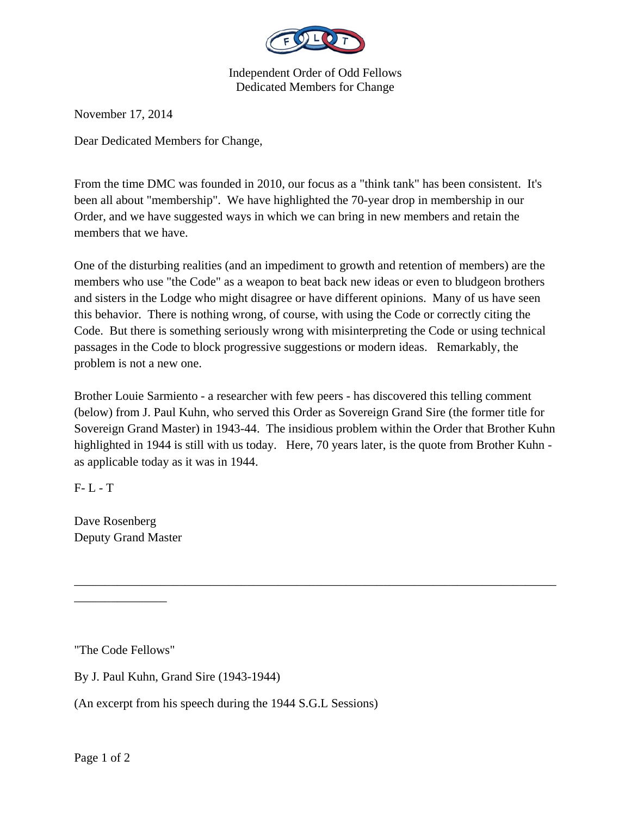

Independent Order of Odd Fellows Dedicated Members for Change

November 17, 2014

Dear Dedicated Members for Change,

From the time DMC was founded in 2010, our focus as a "think tank" has been consistent. It's been all about "membership". We have highlighted the 70-year drop in membership in our Order, and we have suggested ways in which we can bring in new members and retain the members that we have.

One of the disturbing realities (and an impediment to growth and retention of members) are the members who use "the Code" as a weapon to beat back new ideas or even to bludgeon brothers and sisters in the Lodge who might disagree or have different opinions. Many of us have seen this behavior. There is nothing wrong, of course, with using the Code or correctly citing the Code. But there is something seriously wrong with misinterpreting the Code or using technical passages in the Code to block progressive suggestions or modern ideas. Remarkably, the problem is not a new one.

Brother Louie Sarmiento - a researcher with few peers - has discovered this telling comment (below) from J. Paul Kuhn, who served this Order as Sovereign Grand Sire (the former title for Sovereign Grand Master) in 1943-44. The insidious problem within the Order that Brother Kuhn highlighted in 1944 is still with us today. Here, 70 years later, is the quote from Brother Kuhn as applicable today as it was in 1944.

\_\_\_\_\_\_\_\_\_\_\_\_\_\_\_\_\_\_\_\_\_\_\_\_\_\_\_\_\_\_\_\_\_\_\_\_\_\_\_\_\_\_\_\_\_\_\_\_\_\_\_\_\_\_\_\_\_\_\_\_\_\_\_\_\_\_\_\_\_\_\_\_\_\_\_\_\_\_

 $F - L - T$ 

Dave Rosenberg Deputy Grand Master

"The Code Fellows"

\_\_\_\_\_\_\_\_\_\_\_\_\_\_\_

By J. Paul Kuhn, Grand Sire (1943-1944)

(An excerpt from his speech during the 1944 S.G.L Sessions)